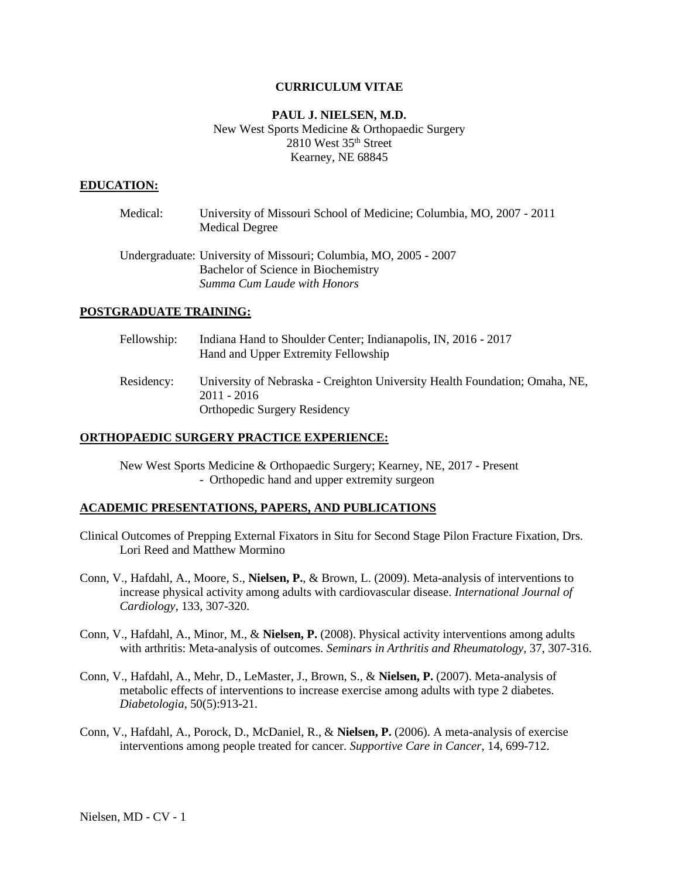### **CURRICULUM VITAE**

# **PAUL J. NIELSEN, M.D.** New West Sports Medicine & Orthopaedic Surgery 2810 West 35th Street Kearney, NE 68845

#### **EDUCATION:**

| Medical: | University of Missouri School of Medicine; Columbia, MO, 2007 - 2011<br><b>Medical Degree</b>                                          |
|----------|----------------------------------------------------------------------------------------------------------------------------------------|
|          | Undergraduate: University of Missouri; Columbia, MO, 2005 - 2007<br>Bachelor of Science in Biochemistry<br>Summa Cum Laude with Honors |

## **POSTGRADUATE TRAINING:**

| Fellowship: | Indiana Hand to Shoulder Center; Indianapolis, IN, 2016 - 2017<br>Hand and Upper Extremity Fellowship                               |
|-------------|-------------------------------------------------------------------------------------------------------------------------------------|
| Residency:  | University of Nebraska - Creighton University Health Foundation; Omaha, NE,<br>$2011 - 2016$<br><b>Orthopedic Surgery Residency</b> |

#### **ORTHOPAEDIC SURGERY PRACTICE EXPERIENCE:**

New West Sports Medicine & Orthopaedic Surgery; Kearney, NE, 2017 - Present - Orthopedic hand and upper extremity surgeon

### **ACADEMIC PRESENTATIONS, PAPERS, AND PUBLICATIONS**

- Clinical Outcomes of Prepping External Fixators in Situ for Second Stage Pilon Fracture Fixation, Drs. Lori Reed and Matthew Mormino
- Conn, V., Hafdahl, A., Moore, S., **Nielsen, P.**, & Brown, L. (2009). Meta-analysis of interventions to increase physical activity among adults with cardiovascular disease. *International Journal of Cardiology*, 133, 307-320.
- Conn, V., Hafdahl, A., Minor, M., & **Nielsen, P.** (2008). Physical activity interventions among adults with arthritis: Meta-analysis of outcomes. *Seminars in Arthritis and Rheumatology,* 37, 307-316.
- Conn, V., Hafdahl, A., Mehr, D., LeMaster, J., Brown, S., & **Nielsen, P.** (2007). Meta-analysis of metabolic effects of interventions to increase exercise among adults with type 2 diabetes. *Diabetologia*, 50(5):913-21.
- Conn, V., Hafdahl, A., Porock, D., McDaniel, R., & **Nielsen, P.** (2006). A meta-analysis of exercise interventions among people treated for cancer. *Supportive Care in Cancer*, 14, 699-712.